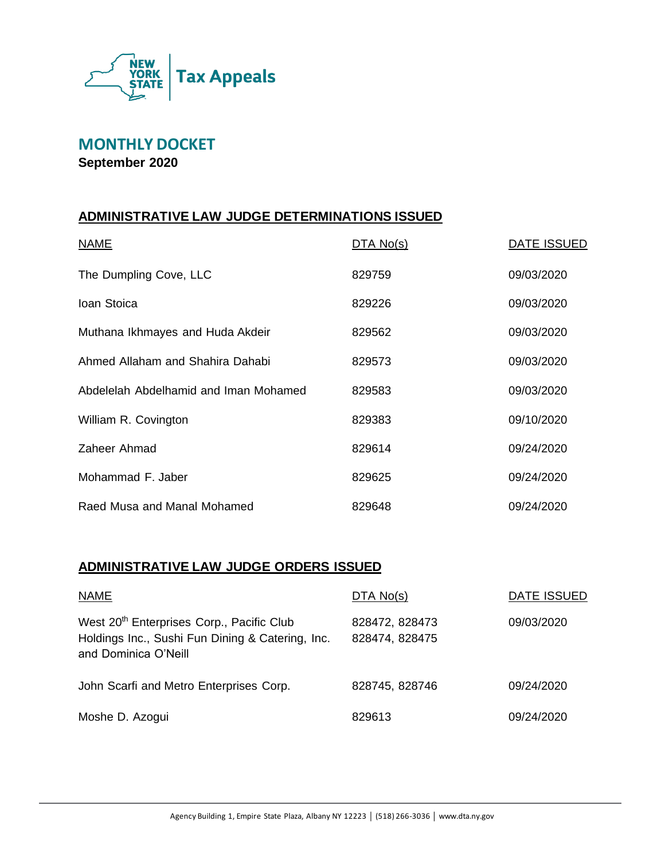

# **MONTHLY DOCKET**

**September 2020**

## **ADMINISTRATIVE LAW JUDGE DETERMINATIONS ISSUED**

| <b>NAME</b>                           | DTA No(s) | DATE ISSUED |
|---------------------------------------|-----------|-------------|
| The Dumpling Cove, LLC                | 829759    | 09/03/2020  |
| Ioan Stoica                           | 829226    | 09/03/2020  |
| Muthana Ikhmayes and Huda Akdeir      | 829562    | 09/03/2020  |
| Ahmed Allaham and Shahira Dahabi      | 829573    | 09/03/2020  |
| Abdelelah Abdelhamid and Iman Mohamed | 829583    | 09/03/2020  |
| William R. Covington                  | 829383    | 09/10/2020  |
| Zaheer Ahmad                          | 829614    | 09/24/2020  |
| Mohammad F. Jaber                     | 829625    | 09/24/2020  |
| Raed Musa and Manal Mohamed           | 829648    | 09/24/2020  |

#### **ADMINISTRATIVE LAW JUDGE ORDERS ISSUED**

| <b>NAME</b>                                                                                                                       | DTA No(s)                        | DATE ISSUED |
|-----------------------------------------------------------------------------------------------------------------------------------|----------------------------------|-------------|
| West 20 <sup>th</sup> Enterprises Corp., Pacific Club<br>Holdings Inc., Sushi Fun Dining & Catering, Inc.<br>and Dominica O'Neill | 828472, 828473<br>828474, 828475 | 09/03/2020  |
| John Scarfi and Metro Enterprises Corp.                                                                                           | 828745, 828746                   | 09/24/2020  |
| Moshe D. Azogui                                                                                                                   | 829613                           | 09/24/2020  |